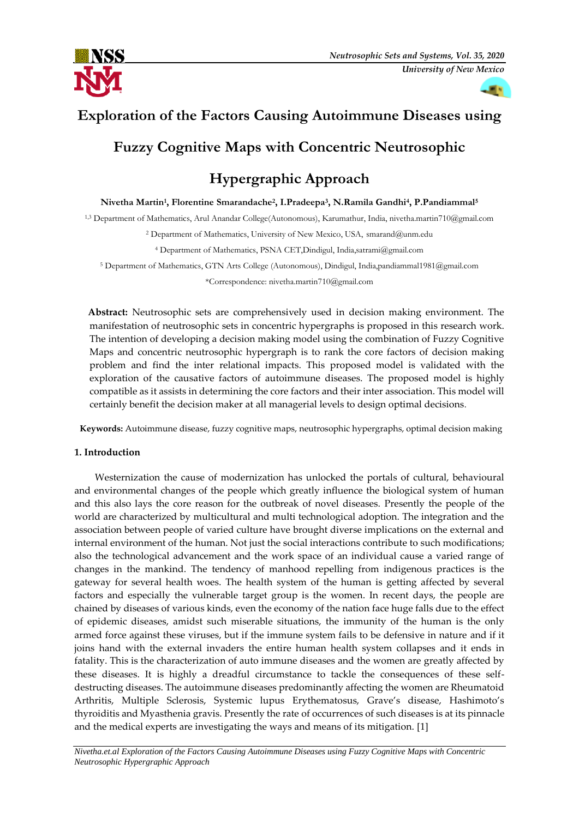



## **Exploration of the Factors Causing Autoimmune Diseases using**

## **Fuzzy Cognitive Maps with Concentric Neutrosophic**

# **Hypergraphic Approach**

**Nivetha Martin<sup>1</sup> , Florentine Smarandache<sup>2</sup> , I.Pradeepa<sup>3</sup> , N.Ramila Gandhi<sup>4</sup> , P.Pandiammal<sup>5</sup>**

1,3 Department of Mathematics, Arul Anandar College(Autonomous), Karumathur, India, nivetha.martin710@gmail.com

<sup>2</sup> Department of Mathematics, University of New Mexico, USA, smarand@unm.edu

<sup>4</sup> Department of Mathematics, PSNA CET,Dindigul, India,satrami@gmail.com

<sup>5</sup> Department of Mathematics, GTN Arts College (Autonomous), Dindigul, India,pandiammal1981@gmail.com \*Correspondence: nivetha.martin710@gmail.com

 **Abstract:** Neutrosophic sets are comprehensively used in decision making environment. The manifestation of neutrosophic sets in concentric hypergraphs is proposed in this research work. The intention of developing a decision making model using the combination of Fuzzy Cognitive Maps and concentric neutrosophic hypergraph is to rank the core factors of decision making problem and find the inter relational impacts. This proposed model is validated with the exploration of the causative factors of autoimmune diseases. The proposed model is highly compatible as it assists in determining the core factors and their inter association. This model will certainly benefit the decision maker at all managerial levels to design optimal decisions.

**Keywords:** Autoimmune disease, fuzzy cognitive maps, neutrosophic hypergraphs, optimal decision making

## **1. Introduction**

Westernization the cause of modernization has unlocked the portals of cultural, behavioural and environmental changes of the people which greatly influence the biological system of human and this also lays the core reason for the outbreak of novel diseases. Presently the people of the world are characterized by multicultural and multi technological adoption. The integration and the association between people of varied culture have brought diverse implications on the external and internal environment of the human. Not just the social interactions contribute to such modifications; also the technological advancement and the work space of an individual cause a varied range of changes in the mankind. The tendency of manhood repelling from indigenous practices is the gateway for several health woes. The health system of the human is getting affected by several factors and especially the vulnerable target group is the women. In recent days, the people are chained by diseases of various kinds, even the economy of the nation face huge falls due to the effect of epidemic diseases, amidst such miserable situations, the immunity of the human is the only armed force against these viruses, but if the immune system fails to be defensive in nature and if it joins hand with the external invaders the entire human health system collapses and it ends in fatality. This is the characterization of auto immune diseases and the women are greatly affected by these diseases. It is highly a dreadful circumstance to tackle the consequences of these selfdestructing diseases. The autoimmune diseases predominantly affecting the women are Rheumatoid Arthritis, Multiple Sclerosis, Systemic lupus Erythematosus, Grave's disease, Hashimoto's thyroiditis and Myasthenia gravis. Presently the rate of occurrences of such diseases is at its pinnacle and the medical experts are investigating the ways and means of its mitigation. [1]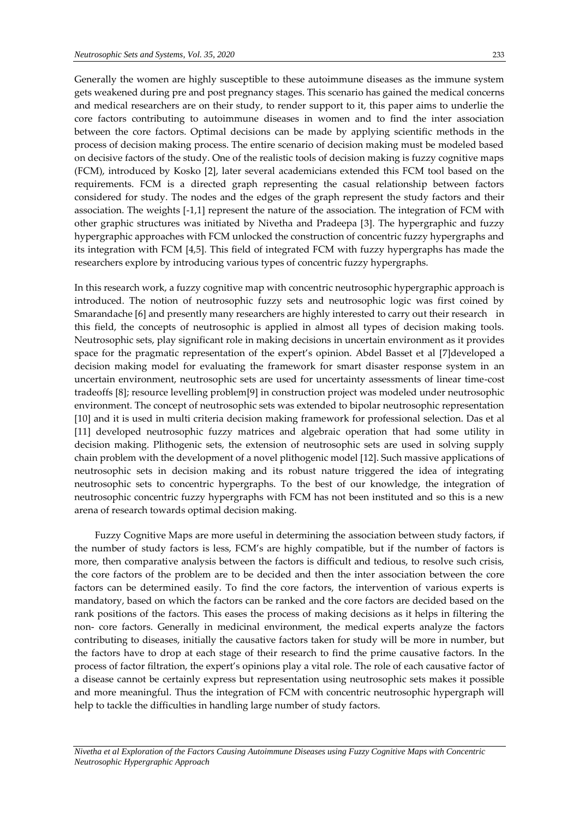Generally the women are highly susceptible to these autoimmune diseases as the immune system gets weakened during pre and post pregnancy stages. This scenario has gained the medical concerns and medical researchers are on their study, to render support to it, this paper aims to underlie the core factors contributing to autoimmune diseases in women and to find the inter association between the core factors. Optimal decisions can be made by applying scientific methods in the process of decision making process. The entire scenario of decision making must be modeled based on decisive factors of the study. One of the realistic tools of decision making is fuzzy cognitive maps (FCM), introduced by Kosko [2], later several academicians extended this FCM tool based on the requirements. FCM is a directed graph representing the casual relationship between factors considered for study. The nodes and the edges of the graph represent the study factors and their association. The weights [-1,1] represent the nature of the association. The integration of FCM with other graphic structures was initiated by Nivetha and Pradeepa [3]. The hypergraphic and fuzzy hypergraphic approaches with FCM unlocked the construction of concentric fuzzy hypergraphs and its integration with FCM [4,5]. This field of integrated FCM with fuzzy hypergraphs has made the researchers explore by introducing various types of concentric fuzzy hypergraphs.

In this research work, a fuzzy cognitive map with concentric neutrosophic hypergraphic approach is introduced. The notion of neutrosophic fuzzy sets and neutrosophic logic was first coined by Smarandache [6] and presently many researchers are highly interested to carry out their research in this field, the concepts of neutrosophic is applied in almost all types of decision making tools. Neutrosophic sets, play significant role in making decisions in uncertain environment as it provides space for the pragmatic representation of the expert's opinion. Abdel Basset et al [7]developed a decision making model for evaluating the framework for smart disaster response system in an uncertain environment, neutrosophic sets are used for uncertainty assessments of linear time-cost tradeoffs [8]; resource levelling problem[9] in construction project was modeled under neutrosophic environment. The concept of neutrosophic sets was extended to bipolar neutrosophic representation [10] and it is used in multi criteria decision making framework for professional selection. Das et al [11] developed neutrosophic fuzzy matrices and algebraic operation that had some utility in decision making. Plithogenic sets, the extension of neutrosophic sets are used in solving supply chain problem with the development of a novel plithogenic model [12]. Such massive applications of neutrosophic sets in decision making and its robust nature triggered the idea of integrating neutrosophic sets to concentric hypergraphs. To the best of our knowledge, the integration of neutrosophic concentric fuzzy hypergraphs with FCM has not been instituted and so this is a new arena of research towards optimal decision making.

Fuzzy Cognitive Maps are more useful in determining the association between study factors, if the number of study factors is less, FCM's are highly compatible, but if the number of factors is more, then comparative analysis between the factors is difficult and tedious, to resolve such crisis, the core factors of the problem are to be decided and then the inter association between the core factors can be determined easily. To find the core factors, the intervention of various experts is mandatory, based on which the factors can be ranked and the core factors are decided based on the rank positions of the factors. This eases the process of making decisions as it helps in filtering the non- core factors. Generally in medicinal environment, the medical experts analyze the factors contributing to diseases, initially the causative factors taken for study will be more in number, but the factors have to drop at each stage of their research to find the prime causative factors. In the process of factor filtration, the expert's opinions play a vital role. The role of each causative factor of a disease cannot be certainly express but representation using neutrosophic sets makes it possible and more meaningful. Thus the integration of FCM with concentric neutrosophic hypergraph will help to tackle the difficulties in handling large number of study factors.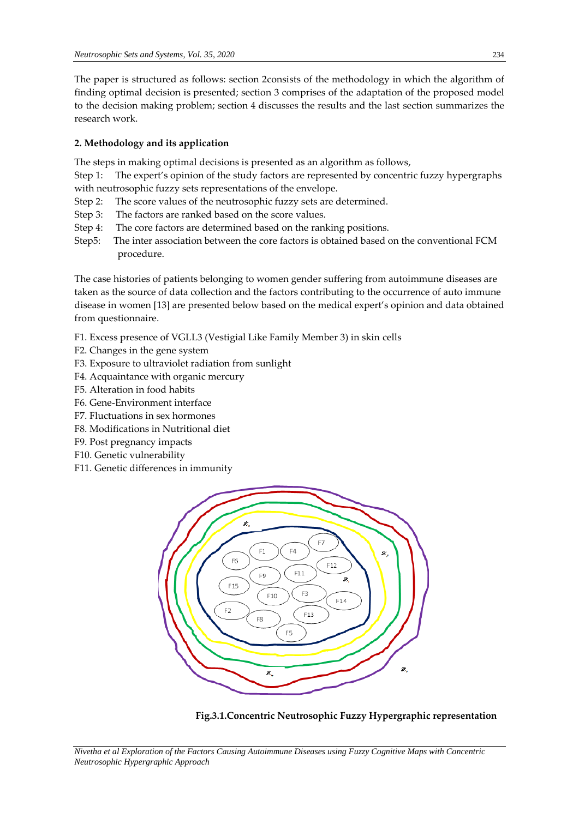The paper is structured as follows: section 2consists of the methodology in which the algorithm of finding optimal decision is presented; section 3 comprises of the adaptation of the proposed model to the decision making problem; section 4 discusses the results and the last section summarizes the research work.

### **2. Methodology and its application**

The steps in making optimal decisions is presented as an algorithm as follows,

Step 1: The expert's opinion of the study factors are represented by concentric fuzzy hypergraphs with neutrosophic fuzzy sets representations of the envelope.

- Step 2: The score values of the neutrosophic fuzzy sets are determined.
- Step 3: The factors are ranked based on the score values.
- Step 4: The core factors are determined based on the ranking positions.
- Step5: The inter association between the core factors is obtained based on the conventional FCM procedure.

The case histories of patients belonging to women gender suffering from autoimmune diseases are taken as the source of data collection and the factors contributing to the occurrence of auto immune disease in women [13] are presented below based on the medical expert's opinion and data obtained from questionnaire.

- F1. Excess presence of VGLL3 (Vestigial Like Family Member 3) in skin cells
- F2. Changes in the gene system
- F3. Exposure to ultraviolet radiation from sunlight
- F4. Acquaintance with organic mercury
- F5. Alteration in food habits
- F6. Gene-Environment interface
- F7. Fluctuations in sex hormones
- F8. Modifications in Nutritional diet
- F9. Post pregnancy impacts
- F10. Genetic vulnerability
- F11. Genetic differences in immunity



**Fig.3.1.Concentric Neutrosophic Fuzzy Hypergraphic representation**

*Nivetha et al Exploration of the Factors Causing Autoimmune Diseases using Fuzzy Cognitive Maps with Concentric Neutrosophic Hypergraphic Approach*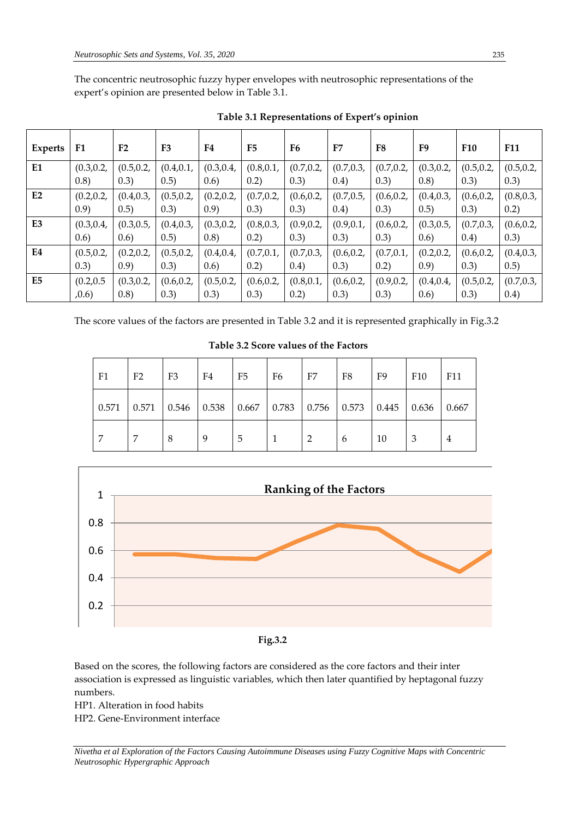The concentric neutrosophic fuzzy hyper envelopes with neutrosophic representations of the expert's opinion are presented below in Table 3.1.

| Experts        | F <sub>1</sub>  | F <sub>2</sub>  | F <sub>3</sub>  | F4              | F <sub>5</sub> | F6              | F7              | F8              | F9         | <b>F10</b> | <b>F11</b>      |
|----------------|-----------------|-----------------|-----------------|-----------------|----------------|-----------------|-----------------|-----------------|------------|------------|-----------------|
| E1             | (0.3, 0.2, 0.2) | (0.5, 0.2,      | (0.4, 0.1,      | (0.3, 0.4, 0.4) | (0.8, 0.1,     | (0.7, 0.2, 0.2) | (0.7, 0.3,      | (0.7, 0.2, 0.2) | (0.3, 0.2, | (0.5, 0.2, | (0.5, 0.2, 0.2) |
|                | (0.8)           | (0.3)           | (0.5)           | (0.6)           | 0.2)           | (0.3)           | (0.4)           | (0.3)           | (0.8)      | (0.3)      | (0.3)           |
| E2             |                 | (0.4, 0.3,      | (0.5, 0.2, 0.2) |                 | (0.7, 0.2,     | (0.6, 0.2,      | (0.7, 0.5,      | (0.6, 0.2,      | (0.4, 0.3, | (0.6, 0.2, | (0.8, 0.3,      |
|                | (0.9)           | (0.5)           | (0.3)           | (0.9)           | (0.3)          | (0.3)           | (0.4)           | (0.3)           | (0.5)      | (0.3)      | 0.2)            |
| E <sub>3</sub> | (0.3, 0.4,      | (0.3, 0.5,      | (0.4, 0.3,      | (0.3, 0.2, 0.2) | (0.8, 0.3,     | (0.9, 0.2, 0.2) |                 | (0.6, 0.2,      | (0.3, 0.5, | (0.7, 0.3, | (0.6, 0.2,      |
|                | 0.6)            | (0.6)           | (0.5)           | (0.8)           | 0.2)           | (0.3)           | (0.3)           | (0.3)           | (0.6)      | (0.4)      | (0.3)           |
| E4             | (0.5, 0.2,      |                 | (0.5, 0.2, 0.2) |                 | (0.7, 0.1,     | (0.7, 0.3,      | (0.6, 0.2, 0.2) | (0.7, 0.1, 0.1) |            | (0.6, 0.2, | (0.4, 0.3,      |
|                | (0.3)           | (0.9)           | (0.3)           | 0.6)            | 0.2)           | (0.4)           | (0.3)           | 0.2)            | (0.9)      | (0.3)      | 0.5)            |
| E <sub>5</sub> | (0.2, 0.5)      | (0.3, 0.2, 0.2) | (0.6, 0.2,      | (0.5, 0.2,      | (0.6, 0.2,     | (0.8, 0.1,      | (0.6, 0.2,      | (0.9, 0.2, 0.2) | (0.4, 0.4, | (0.5, 0.2, | (0.7, 0.3, 0.3) |
|                | ,0.6)           | (0.8)           | (0.3)           | (0.3)           | (0.3)          | 0.2)            | (0.3)           | (0.3)           | 0.6)       | (0.3)      | (0.4)           |

| Table 3.1 Representations of Expert's opinion |  |
|-----------------------------------------------|--|
|                                               |  |

The score values of the factors are presented in Table 3.2 and it is represented graphically in Fig.3.2

| F1    | F <sub>2</sub> | F <sub>3</sub> | F4                                                                        | F5 | F6 | F7 | F8 | F <sub>9</sub> | F10   | F11   |
|-------|----------------|----------------|---------------------------------------------------------------------------|----|----|----|----|----------------|-------|-------|
| 0.571 | 0.571          |                | $\vert 0.546 \vert 0.538 \vert 0.667 \vert 0.783 \vert 0.756 \vert 0.573$ |    |    |    |    | 0.445          | 0.636 | 0.667 |
| 7     |                | 8              | 9                                                                         | -5 |    |    | h  | 10             | 3     | 4     |

**Table 3.2 Score values of the Factors**



 $\frac{1}{2}$   $\frac{1}{2}$   $\frac{1}{2}$   $\frac{1}{2}$   $\frac{1}{2}$   $\frac{1}{2}$   $\frac{1}{2}$   $\frac{1}{2}$   $\frac{1}{2}$   $\frac{1}{2}$   $\frac{1}{2}$   $\frac{1}{2}$   $\frac{1}{2}$   $\frac{1}{2}$   $\frac{1}{2}$   $\frac{1}{2}$   $\frac{1}{2}$   $\frac{1}{2}$   $\frac{1}{2}$   $\frac{1}{2}$   $\frac{1}{2}$   $\frac{1}{2}$  **Fig.3.2**

Based on the scores, the following factors are considered as the core factors and their inter association is expressed as linguistic variables, which then later quantified by heptagonal fuzzy numbers.

HP1. Alteration in food habits

HP2. Gene-Environment interface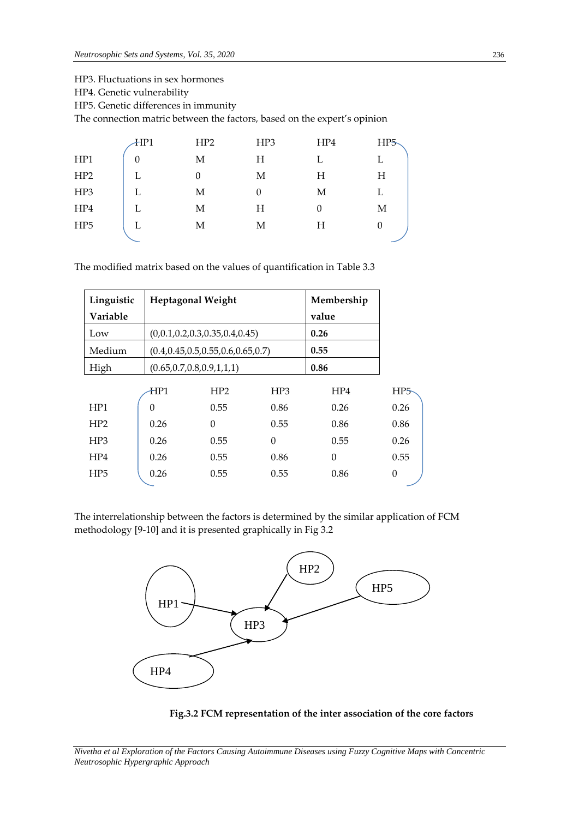HP3. Fluctuations in sex hormones

HP4. Genetic vulnerability

HP5. Genetic differences in immunity

The connection matric between the factors, based on the expert's opinion

|                 | HPI      | HP2 | HP3 | HP4 | HP <sub>5</sub> |
|-----------------|----------|-----|-----|-----|-----------------|
| HP1             | $\theta$ | М   | Η   |     | L               |
| HP <sub>2</sub> | L        | 0   | Μ   | Н   | Η               |
| HP3             |          | М   | 0   | М   | L               |
| HP4             | L        | М   | H   | 0   | М               |
| HP <sub>5</sub> | L        | М   | Μ   | Η   | 0               |
|                 |          |     |     |     |                 |

The modified matrix based on the values of quantification in Table 3.3

| Linguistic<br>Variable |                                | <b>Heptagonal Weight</b>                 |                 | Membership<br>value |          |
|------------------------|--------------------------------|------------------------------------------|-----------------|---------------------|----------|
| Low                    |                                | (0,0.1,0.2,0.3,0.35,0.4,0.45)            | 0.26            |                     |          |
| Medium                 |                                | $(0.4, 0.45, 0.5, 0.55, 0.6, 0.65, 0.7)$ | 0.55            |                     |          |
| High                   | (0.65, 0.7, 0.8, 0.9, 1, 1, 1) |                                          |                 | 0.86                |          |
|                        | HP1                            | HP2                                      | HP <sub>3</sub> | HP4                 | HP5      |
| HP1                    | $\Omega$                       | 0.55                                     | 0.86            | 0.26                | 0.26     |
| HP2                    | 0.26                           | $\Omega$                                 | 0.55            | 0.86                | 0.86     |
| HP <sub>3</sub>        | 0.26                           | 0.55                                     | $\theta$        | 0.55                | 0.26     |
| HP4                    | 0.26                           | 0.55                                     | 0.86            | $\theta$            | 0.55     |
| HP <sub>5</sub>        | 0.26                           | 0.55                                     | 0.55            | 0.86                | $\theta$ |

The interrelationship between the factors is determined by the similar application of FCM methodology [9-10] and it is presented graphically in Fig 3.2



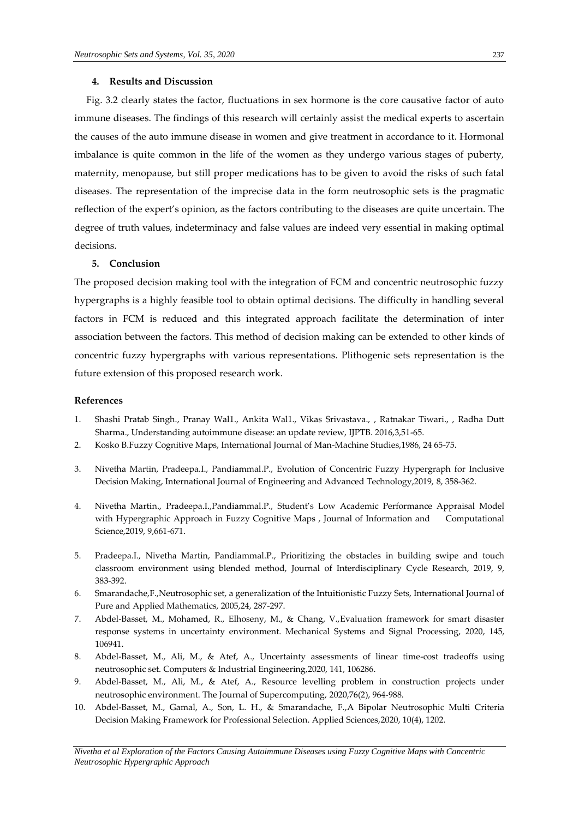### **4. Results and Discussion**

 Fig. 3.2 clearly states the factor, fluctuations in sex hormone is the core causative factor of auto immune diseases. The findings of this research will certainly assist the medical experts to ascertain the causes of the auto immune disease in women and give treatment in accordance to it. Hormonal imbalance is quite common in the life of the women as they undergo various stages of puberty, maternity, menopause, but still proper medications has to be given to avoid the risks of such fatal diseases. The representation of the imprecise data in the form neutrosophic sets is the pragmatic reflection of the expert's opinion, as the factors contributing to the diseases are quite uncertain. The degree of truth values, indeterminacy and false values are indeed very essential in making optimal decisions.

### **5. Conclusion**

The proposed decision making tool with the integration of FCM and concentric neutrosophic fuzzy hypergraphs is a highly feasible tool to obtain optimal decisions. The difficulty in handling several factors in FCM is reduced and this integrated approach facilitate the determination of inter association between the factors. This method of decision making can be extended to other kinds of concentric fuzzy hypergraphs with various representations. Plithogenic sets representation is the future extension of this proposed research work.

### **References**

- 1. Shashi Pratab Singh., Pranay Wal1., Ankita Wal1., Vikas Srivastava., , Ratnakar Tiwari., , Radha Dutt Sharma., Understanding autoimmune disease: an update review, IJPTB. 2016,3,51-65.
- 2. Kosko B.Fuzzy Cognitive Maps, International Journal of Man-Machine Studies,1986, 24 65-75.
- 3. Nivetha Martin, Pradeepa.I., Pandiammal.P., Evolution of Concentric Fuzzy Hypergraph for Inclusive Decision Making, International Journal of Engineering and Advanced Technology,2019, 8, 358-362.
- 4. Nivetha Martin., Pradeepa.I.,Pandiammal.P., Student's Low Academic Performance Appraisal Model with Hypergraphic Approach in Fuzzy Cognitive Maps , Journal of Information and Computational Science,2019, 9,661-671.
- 5. Pradeepa.I., Nivetha Martin, Pandiammal.P., Prioritizing the obstacles in building swipe and touch classroom environment using blended method, Journal of Interdisciplinary Cycle Research, 2019, 9, 383-392.
- 6. Smarandache,F.,Neutrosophic set, a generalization of the Intuitionistic Fuzzy Sets, International Journal of Pure and Applied Mathematics, 2005,24, 287-297.
- 7. Abdel-Basset, M., Mohamed, R., Elhoseny, M., & Chang, V.,Evaluation framework for smart disaster response systems in uncertainty environment. Mechanical Systems and Signal Processing, 2020, 145, 106941.
- 8. Abdel-Basset, M., Ali, M., & Atef, A., Uncertainty assessments of linear time-cost tradeoffs using neutrosophic set. Computers & Industrial Engineering,2020, 141, 106286.
- 9. Abdel-Basset, M., Ali, M., & Atef, A., Resource levelling problem in construction projects under neutrosophic environment. The Journal of Supercomputing, 2020,76(2), 964-988.
- 10. Abdel-Basset, M., Gamal, A., Son, L. H., & Smarandache, F.,A Bipolar Neutrosophic Multi Criteria Decision Making Framework for Professional Selection. Applied Sciences,2020, 10(4), 1202.